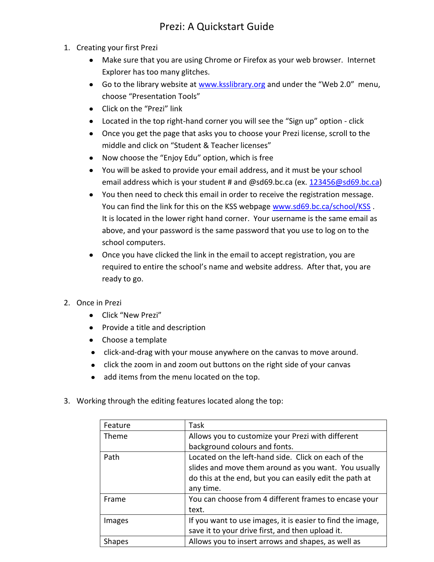## Prezi: A Quickstart Guide

- 1. Creating your first Prezi
	- Make sure that you are using Chrome or Firefox as your web browser. Internet Explorer has too many glitches.
	- Go to the library website at [www.ksslibrary.org](http://www.ksslibrary.org/) and under the "Web 2.0" menu, choose "Presentation Tools"
	- Click on the "Prezi" link
	- Located in the top right-hand corner you will see the "Sign up" option click
	- Once you get the page that asks you to choose your Prezi license, scroll to the middle and click on "Student & Teacher licenses"
	- Now choose the "Enjoy Edu" option, which is free
	- You will be asked to provide your email address, and it must be your school email address which is your student # and @sd69.bc.ca (ex. [123456@sd69.bc.ca\)](mailto:123456@sd69.bc.ca)
	- You then need to check this email in order to receive the registration message. You can find the link for this on the KSS webpage [www.sd69.bc.ca/school/KSS](http://www.sd69.bc.ca/school/KSS). It is located in the lower right hand corner. Your username is the same email as above, and your password is the same password that you use to log on to the school computers.
	- Once you have clicked the link in the email to accept registration, you are required to entire the school's name and website address. After that, you are ready to go.
- 2. Once in Prezi
	- Click "New Prezi"
	- Provide a title and description
	- Choose a template
	- click-and-drag with your mouse anywhere on the canvas to move around.
	- click the zoom in and zoom out buttons on the right side of your canvas
	- add items from the menu located on the top.  $\bullet$
- 3. Working through the editing features located along the top:

| Feature       | Task                                                       |
|---------------|------------------------------------------------------------|
| <b>Theme</b>  | Allows you to customize your Prezi with different          |
|               | background colours and fonts.                              |
| Path          | Located on the left-hand side. Click on each of the        |
|               | slides and move them around as you want. You usually       |
|               | do this at the end, but you can easily edit the path at    |
|               | any time.                                                  |
| Frame         | You can choose from 4 different frames to encase your      |
|               | text.                                                      |
| Images        | If you want to use images, it is easier to find the image, |
|               | save it to your drive first, and then upload it.           |
| <b>Shapes</b> | Allows you to insert arrows and shapes, as well as         |